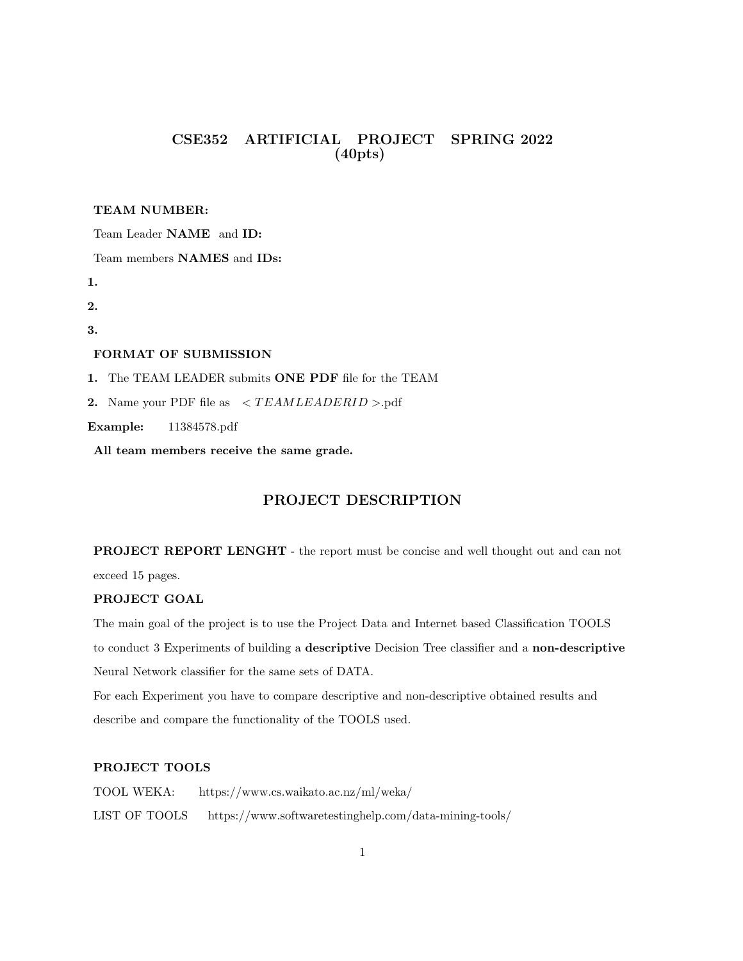# CSE352 ARTIFICIAL PROJECT SPRING 2022 (40pts)

### TEAM NUMBER:

Team Leader NAME and ID:

Team members NAMES and IDs:

1.

2.

3.

## FORMAT OF SUBMISSION

1. The TEAM LEADER submits ONE PDF file for the TEAM

2. Name your PDF file as  $\langle TEAMLEADERID \rangle$ .pdf

Example: 11384578.pdf

All team members receive the same grade.

# PROJECT DESCRIPTION

PROJECT REPORT LENGHT - the report must be concise and well thought out and can not

exceed 15 pages.

## PROJECT GOAL

The main goal of the project is to use the Project Data and Internet based Classification TOOLS to conduct 3 Experiments of building a descriptive Decision Tree classifier and a non-descriptive Neural Network classifier for the same sets of DATA.

For each Experiment you have to compare descriptive and non-descriptive obtained results and describe and compare the functionality of the TOOLS used.

# PROJECT TOOLS

TOOL WEKA: https://www.cs.waikato.ac.nz/ml/weka/ LIST OF TOOLS https://www.softwaretestinghelp.com/data-mining-tools/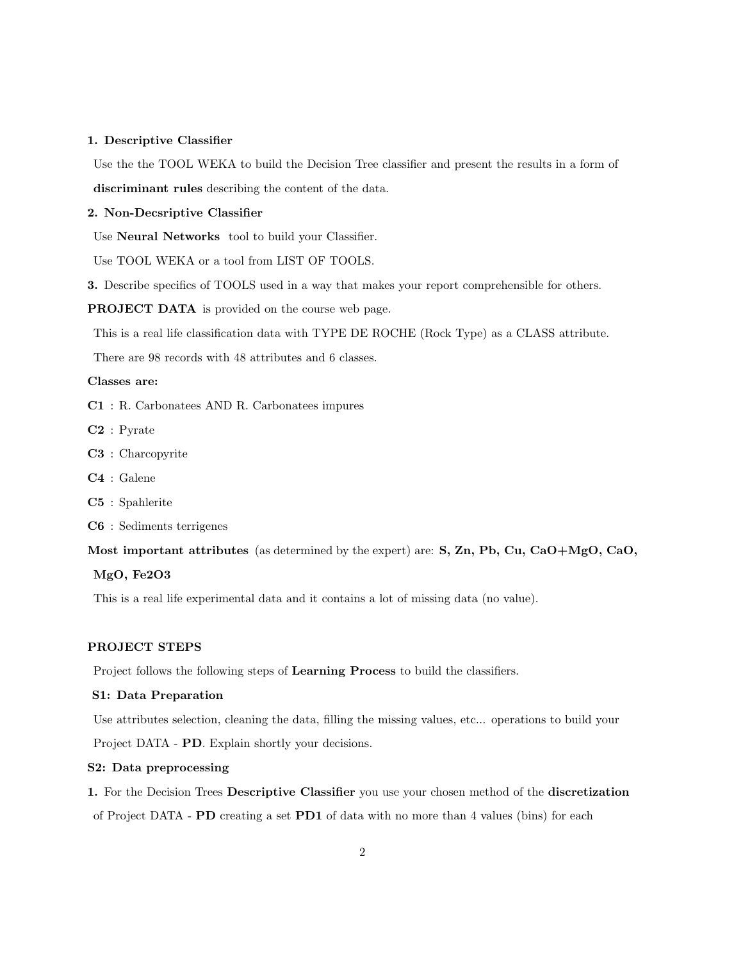#### 1. Descriptive Classifier

Use the the TOOL WEKA to build the Decision Tree classifier and present the results in a form of discriminant rules describing the content of the data.

### 2. Non-Decsriptive Classifier

Use Neural Networks tool to build your Classifier.

Use TOOL WEKA or a tool from LIST OF TOOLS.

3. Describe specifics of TOOLS used in a way that makes your report comprehensible for others.

PROJECT DATA is provided on the course web page.

This is a real life classification data with TYPE DE ROCHE (Rock Type) as a CLASS attribute.

There are 98 records with 48 attributes and 6 classes.

#### Classes are:

C1 : R. Carbonatees AND R. Carbonatees impures

C2 : Pyrate

- C3 : Charcopyrite
- C4 : Galene
- C5 : Spahlerite

C6 : Sediments terrigenes

Most important attributes (as determined by the expert) are: S, Zn, Pb, Cu, CaO+MgO, CaO,

## MgO, Fe2O3

This is a real life experimental data and it contains a lot of missing data (no value).

#### PROJECT STEPS

Project follows the following steps of Learning Process to build the classifiers.

#### S1: Data Preparation

Use attributes selection, cleaning the data, filling the missing values, etc... operations to build your

Project DATA - PD. Explain shortly your decisions.

### S2: Data preprocessing

1. For the Decision Trees Descriptive Classifier you use your chosen method of the discretization of Project DATA - PD creating a set PD1 of data with no more than 4 values (bins) for each